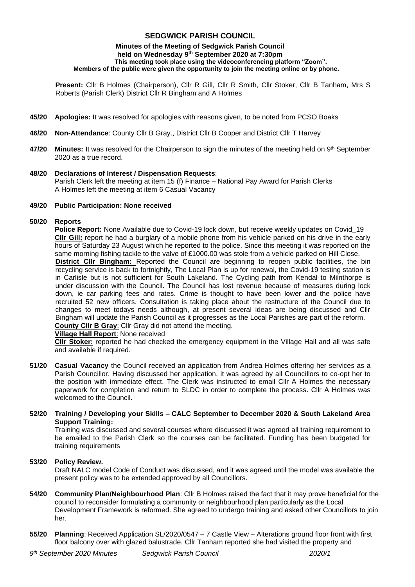# **SEDGWICK PARISH COUNCIL**

#### **Minutes of the Meeting of Sedgwick Parish Council held on Wednesday 9 th September 2020 at 7:30pm This meeting took place using the videoconferencing platform "Zoom". Members of the public were given the opportunity to join the meeting online or by phone.**

**Present:** Cllr B Holmes (Chairperson), Cllr R Gill, Cllr R Smith, Cllr Stoker, Cllr B Tanham, Mrs S Roberts (Parish Clerk) District Cllr R Bingham and A Holmes

- **45/20 Apologies:** It was resolved for apologies with reasons given, to be noted from PCSO Boaks
- **46/20 Non-Attendance**: County Cllr B Gray., District Cllr B Cooper and District Cllr T Harvey
- **47/20 Minutes:** It was resolved for the Chairperson to sign the minutes of the meeting held on 9<sup>th</sup> September 2020 as a true record.
- **48/20 Declarations of Interest / Dispensation Requests**: Parish Clerk left the meeting at item 15 (f) Finance – National Pay Award for Parish Clerks A Holmes left the meeting at item 6 Casual Vacancy

#### **49/20 Public Participation: None received**

# **50/20 Reports**

**Police Report:** None Available due to Covid-19 lock down, but receive weekly updates on Covid\_19 **Cllr Gill:** report he had a burglary of a mobile phone from his vehicle parked on his drive in the early hours of Saturday 23 August which he reported to the police. Since this meeting it was reported on the same morning fishing tackle to the valve of £1000.00 was stole from a vehicle parked on Hill Close.

**District Cllr Bingham:** Reported the Council are beginning to reopen public facilities, the bin recycling service is back to fortnightly, The Local Plan is up for renewal, the Covid-19 testing station is in Carlisle but is not sufficient for South Lakeland. The Cycling path from Kendal to Milnthorpe is under discussion with the Council. The Council has lost revenue because of measures during lock down, ie car parking fees and rates. Crime is thought to have been lower and the police have recruited 52 new officers. Consultation is taking place about the restructure of the Council due to changes to meet todays needs although, at present several ideas are being discussed and Cllr Bingham will update the Parish Council as it progresses as the Local Parishes are part of the reform. **County Cllr B Gray**: Cllr Gray did not attend the meeting.

#### **Village Hall Report**: None received

**Cllr Stoker:** reported he had checked the emergency equipment in the Village Hall and all was safe and available if required.

**51/20 Casual Vacancy** the Council received an application from Andrea Holmes offering her services as a Parish Councillor. Having discussed her application, it was agreed by all Councillors to co-opt her to the position with immediate effect. The Clerk was instructed to email Cllr A Holmes the necessary paperwork for completion and return to SLDC in order to complete the process. Cllr A Holmes was welcomed to the Council.

# **52/20 Training / Developing your Skills – CALC September to December 2020 & South Lakeland Area Support Training:**

Training was discussed and several courses where discussed it was agreed all training requirement to be emailed to the Parish Clerk so the courses can be facilitated. Funding has been budgeted for training requirements

# **53/20 Policy Review.**

Draft NALC model Code of Conduct was discussed, and it was agreed until the model was available the present policy was to be extended approved by all Councillors.

- **54/20 Community Plan/Neighbourhood Plan**: Cllr B Holmes raised the fact that it may prove beneficial for the council to reconsider formulating a community or neighbourhood plan particularly as the Local Development Framework is reformed. She agreed to undergo training and asked other Councillors to join her.
- **55/20 Planning**: Received Application SL/2020/0547 7 Castle View Alterations ground floor front with first floor balcony over with glazed balustrade. Cllr Tanham reported she had visited the property and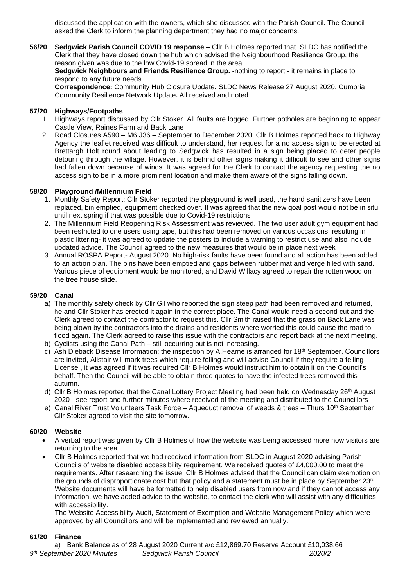discussed the application with the owners, which she discussed with the Parish Council. The Council asked the Clerk to inform the planning department they had no major concerns.

**56/20 Sedgwick Parish Council COVID 19 response –** Cllr B Holmes reported that SLDC has notified the Clerk that they have closed down the hub which advised the Neighbourhood Resilience Group, the reason given was due to the low Covid-19 spread in the area.

Sedgwick Neighbours and Friends Resilience Group. -nothing to report - it remains in place to respond to any future needs.

**Correspondence:** Community Hub Closure Update**,** SLDC News Release 27 August 2020, Cumbria Community Resilience Network Update**.** All received and noted

#### **57/20 Highways/Footpaths**

- 1. Highways report discussed by Cllr Stoker. All faults are logged. Further potholes are beginning to appear Castle View, Raines Farm and Back Lane
- 2. Road Closures A590 M6 J36 September to December 2020, Cllr B Holmes reported back to Highway Agency the leaflet received was difficult to understand, her request for a no access sign to be erected at Brettargh Holt round about leading to Sedgwick has resulted in a sign being placed to deter people detouring through the village. However, it is behind other signs making it difficult to see and other signs had fallen down because of winds. It was agreed for the Clerk to contact the agency requesting the no access sign to be in a more prominent location and make them aware of the signs falling down.

#### **58/20 Playground /Millennium Field**

- 1. Monthly Safety Report: Cllr Stoker reported the playground is well used, the hand sanitizers have been replaced, bin emptied, equipment checked over. It was agreed that the new goal post would not be in situ until next spring if that was possible due to Covid-19 restrictions
- 2. The Millennium Field Reopening Risk Assessment was reviewed. The two user adult gym equipment had been restricted to one users using tape, but this had been removed on various occasions, resulting in plastic littering- it was agreed to update the posters to include a warning to restrict use and also include updated advice. The Council agreed to the new measures that would be in place next week
- 3. Annual ROSPA Report- August 2020. No high-risk faults have been found and all action has been added to an action plan. The bins have been emptied and gaps between rubber mat and verge filled with sand. Various piece of equipment would be monitored, and David Willacy agreed to repair the rotten wood on the tree house slide.

#### **59/20 Canal**

- a) The monthly safety check by Cllr Gil who reported the sign steep path had been removed and returned, he and Cllr Stoker has erected it again in the correct place. The Canal would need a second cut and the Clerk agreed to contact the contractor to request this. Cllr Smith raised that the grass on Back Lane was being blown by the contractors into the drains and residents where worried this could cause the road to flood again. The Clerk agreed to raise this issue with the contractors and report back at the next meeting.
- b) Cyclists using the Canal Path still occurring but is not increasing.
- c) Ash Dieback Disease Information: the inspection by A.Hearne is arranged for 18<sup>th</sup> September. Councillors are invited, Alistair will mark trees which require felling and will advise Council if they require a felling License , it was agreed if it was required Cllr B Holmes would instruct him to obtain it on the Council's behalf. Then the Council will be able to obtain three quotes to have the infected trees removed this autumn.
- d) Cllr B Holmes reported that the Canal Lottery Project Meeting had been held on Wednesday 26<sup>th</sup> August 2020 - see report and further minutes where received of the meeting and distributed to the Councillors
- e) Canal River Trust Volunteers Task Force Aqueduct removal of weeds & trees Thurs 10<sup>th</sup> September Cllr Stoker agreed to visit the site tomorrow.

#### **60/20 Website**

- A verbal report was given by Cllr B Holmes of how the website was being accessed more now visitors are returning to the area
- Cllr B Holmes reported that we had received information from SLDC in August 2020 advising Parish Councils of website disabled accessibility requirement. We received quotes of £4,000.00 to meet the requirements. After researching the issue, Cllr B Holmes advised that the Council can claim exemption on the grounds of disproportionate cost but that policy and a statement must be in place by September 23<sup>rd</sup>. Website documents will have be formatted to help disabled users from now and if they cannot access any information, we have added advice to the website, to contact the clerk who will assist with any difficulties with accessibility.

The Website Accessibility Audit, Statement of Exemption and Website Management Policy which were approved by all Councillors and will be implemented and reviewed annually.

#### **61/20 Finance**

*9 th September 2020 Minutes Sedgwick Parish Council 2020/2* a) Bank Balance as of 28 August 2020 Current a/c £12,869.70 Reserve Account £10,038.66